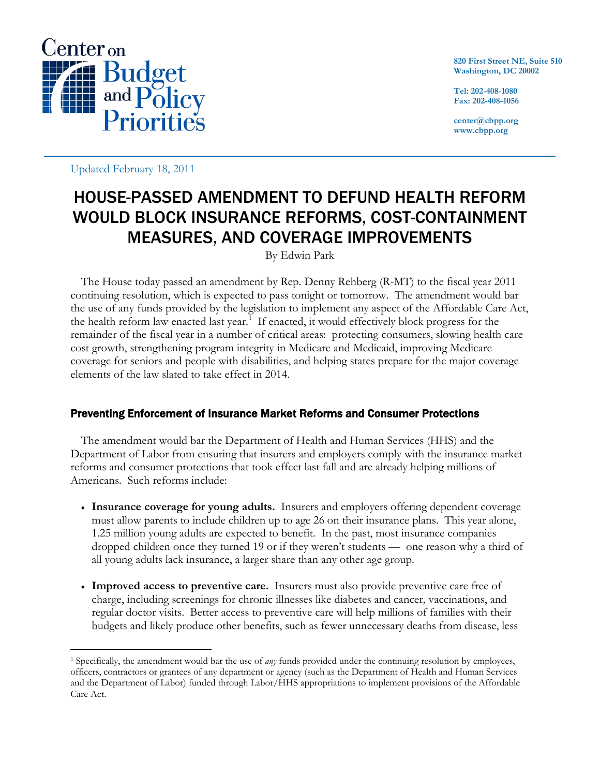

**820 First Street NE, Suite 510 Washington, DC 20002**

**Tel: 202-408-1080 Fax: 202-408-1056**

**center@cbpp.org www.cbpp.org**

Updated February 18, 2011

# HOUSE-PASSED AMENDMENT TO DEFUND HEALTH REFORM WOULD BLOCK INSURANCE REFORMS, COST-CONTAINMENT MEASURES, AND COVERAGE IMPROVEMENTS

By Edwin Park

The House today passed an amendment by Rep. Denny Rehberg (R-MT) to the fiscal year 2011 continuing resolution, which is expected to pass tonight or tomorrow. The amendment would bar the use of any funds provided by the legislation to implement any aspect of the Affordable Care Act, the health reform law enacted last year.<sup>[1](#page-0-0)</sup> If enacted, it would effectively block progress for the remainder of the fiscal year in a number of critical areas: protecting consumers, slowing health care cost growth, strengthening program integrity in Medicare and Medicaid, improving Medicare coverage for seniors and people with disabilities, and helping states prepare for the major coverage elements of the law slated to take effect in 2014.

## Preventing Enforcement of Insurance Market Reforms and Consumer Protections

The amendment would bar the Department of Health and Human Services (HHS) and the Department of Labor from ensuring that insurers and employers comply with the insurance market reforms and consumer protections that took effect last fall and are already helping millions of Americans. Such reforms include:

- **Insurance coverage for young adults.** Insurers and employers offering dependent coverage must allow parents to include children up to age 26 on their insurance plans. This year alone, 1.25 million young adults are expected to benefit. In the past, most insurance companies dropped children once they turned 19 or if they weren't students — one reason why a third of all young adults lack insurance, a larger share than any other age group.
- **Improved access to preventive care.** Insurers must also provide preventive care free of charge, including screenings for chronic illnesses like diabetes and cancer, vaccinations, and regular doctor visits. Better access to preventive care will help millions of families with their budgets and likely produce other benefits, such as fewer unnecessary deaths from disease, less

<span id="page-0-0"></span> <sup>1</sup> Specifically, the amendment would bar the use of *any* funds provided under the continuing resolution by employees, officers, contractors or grantees of any department or agency (such as the Department of Health and Human Services and the Department of Labor) funded through Labor/HHS appropriations to implement provisions of the Affordable Care Act.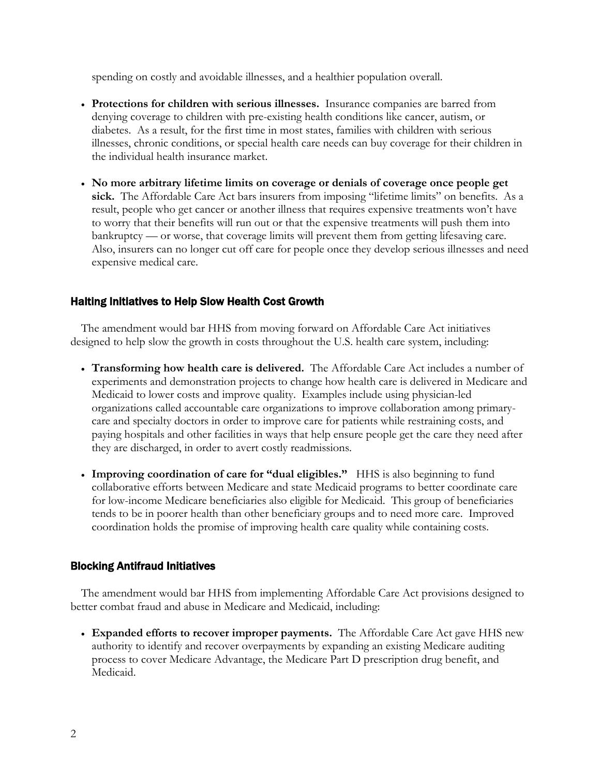spending on costly and avoidable illnesses, and a healthier population overall.

- **Protections for children with serious illnesses.** Insurance companies are barred from denying coverage to children with pre-existing health conditions like cancer, autism, or diabetes. As a result, for the first time in most states, families with children with serious illnesses, chronic conditions, or special health care needs can buy coverage for their children in the individual health insurance market.
- **No more arbitrary lifetime limits on coverage or denials of coverage once people get**  sick. The Affordable Care Act bars insurers from imposing "lifetime limits" on benefits. As a result, people who get cancer or another illness that requires expensive treatments won't have to worry that their benefits will run out or that the expensive treatments will push them into bankruptcy — or worse, that coverage limits will prevent them from getting lifesaving care. Also, insurers can no longer cut off care for people once they develop serious illnesses and need expensive medical care.

### Halting Initiatives to Help Slow Health Cost Growth

The amendment would bar HHS from moving forward on Affordable Care Act initiatives designed to help slow the growth in costs throughout the U.S. health care system, including:

- **Transforming how health care is delivered.** The Affordable Care Act includes a number of experiments and demonstration projects to change how health care is delivered in Medicare and Medicaid to lower costs and improve quality. Examples include using physician-led organizations called accountable care organizations to improve collaboration among primarycare and specialty doctors in order to improve care for patients while restraining costs, and paying hospitals and other facilities in ways that help ensure people get the care they need after they are discharged, in order to avert costly readmissions.
- **Improving coordination of care for "dual eligibles."** HHS is also beginning to fund collaborative efforts between Medicare and state Medicaid programs to better coordinate care for low-income Medicare beneficiaries also eligible for Medicaid. This group of beneficiaries tends to be in poorer health than other beneficiary groups and to need more care. Improved coordination holds the promise of improving health care quality while containing costs.

#### Blocking Antifraud Initiatives

The amendment would bar HHS from implementing Affordable Care Act provisions designed to better combat fraud and abuse in Medicare and Medicaid, including:

• **Expanded efforts to recover improper payments.** The Affordable Care Act gave HHS new authority to identify and recover overpayments by expanding an existing Medicare auditing process to cover Medicare Advantage, the Medicare Part D prescription drug benefit, and Medicaid.